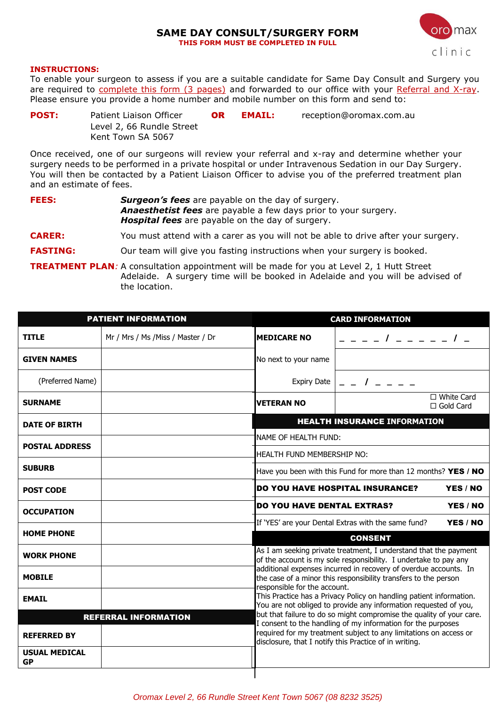#### **SAME DAY CONSULT/SURGERY FORM THIS FORM MUST BE COMPLETED IN FULL**



#### **INSTRUCTIONS:**

To enable your surgeon to assess if you are a suitable candidate for Same Day Consult and Surgery you are required to complete this form (3 pages) and forwarded to our office with your Referral and X-ray. Please ensure you provide a home number and mobile number on this form and send to:

**POST:** Patient Liaison Officer **OR EMAIL:** [reception@oromax.com.au](mailto:reception@oromax.com.au) Level 2, 66 Rundle Street Kent Town SA 5067

Once received, one of our surgeons will review your referral and x-ray and determine whether your surgery needs to be performed in a private hospital or under Intravenous Sedation in our Day Surgery. You will then be contacted by a Patient Liaison Officer to advise you of the preferred treatment plan and an estimate of fees.

**FEES:** *Surgeon's fees* are payable on the day of surgery. *Anaesthetist fees* are payable a few days prior to your surgery. *Hospital fees* are payable on the day of surgery.

**CARER:** You must attend with a carer as you will not be able to drive after your surgery.

**FASTING:** Our team will give you fasting instructions when your surgery is booked.

**TREATMENT PLAN**: A consultation appointment will be made for you at Level 2, 1 Hutt Street Adelaide. A surgery time will be booked in Adelaide and you will be advised of the location.

|                                   | <b>PATIENT INFORMATION</b>         | <b>CARD INFORMATION</b>                                                                                                                                                                                                                                                                                        |                                                                 |  |  |
|-----------------------------------|------------------------------------|----------------------------------------------------------------------------------------------------------------------------------------------------------------------------------------------------------------------------------------------------------------------------------------------------------------|-----------------------------------------------------------------|--|--|
| <b>TITLE</b>                      | Mr / Mrs / Ms / Miss / Master / Dr | <b>MEDICARE NO</b>                                                                                                                                                                                                                                                                                             | $-1$ - - - - 1 -                                                |  |  |
| <b>GIVEN NAMES</b>                |                                    | No next to your name                                                                                                                                                                                                                                                                                           |                                                                 |  |  |
| (Preferred Name)                  |                                    | <b>Expiry Date</b>                                                                                                                                                                                                                                                                                             | $\frac{1}{2}$ $\frac{1}{2}$ $\frac{1}{2}$ $\frac{1}{2}$         |  |  |
| <b>SURNAME</b>                    |                                    | <b>VETERAN NO</b>                                                                                                                                                                                                                                                                                              | $\Box$ White Card<br>$\Box$ Gold Card                           |  |  |
| <b>DATE OF BIRTH</b>              |                                    | <b>HEALTH INSURANCE INFORMATION</b>                                                                                                                                                                                                                                                                            |                                                                 |  |  |
| <b>POSTAL ADDRESS</b>             |                                    | NAME OF HEALTH FUND:                                                                                                                                                                                                                                                                                           |                                                                 |  |  |
|                                   |                                    | HEALTH FUND MEMBERSHIP NO:                                                                                                                                                                                                                                                                                     |                                                                 |  |  |
| <b>SUBURB</b>                     |                                    | Have you been with this Fund for more than 12 months? YES / NO                                                                                                                                                                                                                                                 |                                                                 |  |  |
| <b>POST CODE</b>                  |                                    | <b>DO YOU HAVE HOSPITAL INSURANCE?</b><br>YES / NO                                                                                                                                                                                                                                                             |                                                                 |  |  |
| <b>OCCUPATION</b>                 |                                    | <b>DO YOU HAVE DENTAL EXTRAS?</b><br>YES / NO                                                                                                                                                                                                                                                                  |                                                                 |  |  |
|                                   |                                    |                                                                                                                                                                                                                                                                                                                | If 'YES' are your Dental Extras with the same fund?<br>YES / NO |  |  |
| <b>HOME PHONE</b>                 |                                    | <b>CONSENT</b>                                                                                                                                                                                                                                                                                                 |                                                                 |  |  |
| <b>WORK PHONE</b>                 |                                    | As I am seeking private treatment, I understand that the payment<br>of the account is my sole responsibility. I undertake to pay any                                                                                                                                                                           |                                                                 |  |  |
| <b>MOBILE</b>                     |                                    | additional expenses incurred in recovery of overdue accounts. In<br>the case of a minor this responsibility transfers to the person<br>responsible for the account.<br>This Practice has a Privacy Policy on handling patient information.<br>You are not obliged to provide any information requested of you, |                                                                 |  |  |
| <b>EMAIL</b>                      |                                    |                                                                                                                                                                                                                                                                                                                |                                                                 |  |  |
|                                   | <b>REFERRAL INFORMATION</b>        | but that failure to do so might compromise the quality of your care.<br>I consent to the handling of my information for the purposes                                                                                                                                                                           |                                                                 |  |  |
| <b>REFERRED BY</b>                |                                    | required for my treatment subject to any limitations on access or<br>disclosure, that I notify this Practice of in writing.                                                                                                                                                                                    |                                                                 |  |  |
| <b>USUAL MEDICAL</b><br><b>GP</b> |                                    |                                                                                                                                                                                                                                                                                                                |                                                                 |  |  |
|                                   |                                    |                                                                                                                                                                                                                                                                                                                |                                                                 |  |  |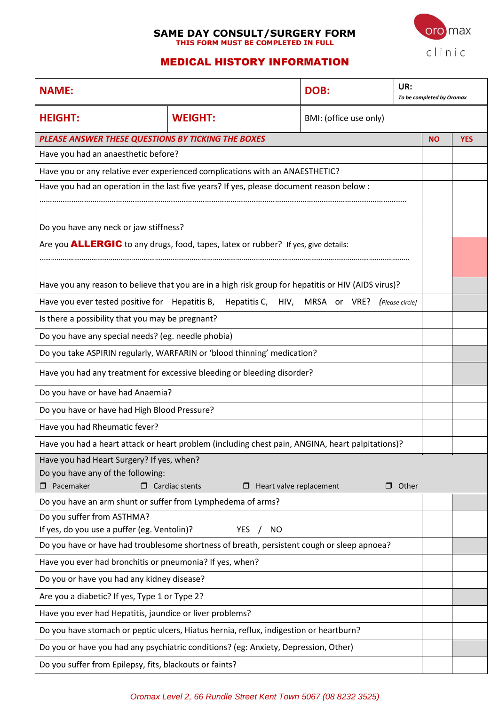# **SAME DAY CONSULT/SURGERY FORM THIS FORM MUST BE COMPLETED IN FULL**



# MEDICAL HISTORY INFORMATION

| <b>NAME:</b>                                                                             |                                                                                                     | DOB:                   | UR:<br>To be completed by Oromax |           |            |
|------------------------------------------------------------------------------------------|-----------------------------------------------------------------------------------------------------|------------------------|----------------------------------|-----------|------------|
| <b>HEIGHT:</b>                                                                           | <b>WEIGHT:</b>                                                                                      | BMI: (office use only) |                                  |           |            |
| PLEASE ANSWER THESE QUESTIONS BY TICKING THE BOXES                                       |                                                                                                     |                        |                                  | <b>NO</b> | <b>YES</b> |
| Have you had an anaesthetic before?                                                      |                                                                                                     |                        |                                  |           |            |
|                                                                                          | Have you or any relative ever experienced complications with an ANAESTHETIC?                        |                        |                                  |           |            |
| Have you had an operation in the last five years? If yes, please document reason below : |                                                                                                     |                        |                                  |           |            |
|                                                                                          |                                                                                                     |                        |                                  |           |            |
| Do you have any neck or jaw stiffness?                                                   |                                                                                                     |                        |                                  |           |            |
|                                                                                          | Are you <b>ALLERGIC</b> to any drugs, food, tapes, latex or rubber? If yes, give details:           |                        |                                  |           |            |
|                                                                                          |                                                                                                     |                        |                                  |           |            |
|                                                                                          | Have you any reason to believe that you are in a high risk group for hepatitis or HIV (AIDS virus)? |                        |                                  |           |            |
|                                                                                          | Have you ever tested positive for Hepatitis B, Hepatitis C, HIV, MRSA or VRE?                       |                        | (Please circle)                  |           |            |
| Is there a possibility that you may be pregnant?                                         |                                                                                                     |                        |                                  |           |            |
| Do you have any special needs? (eg. needle phobia)                                       |                                                                                                     |                        |                                  |           |            |
|                                                                                          | Do you take ASPIRIN regularly, WARFARIN or 'blood thinning' medication?                             |                        |                                  |           |            |
|                                                                                          | Have you had any treatment for excessive bleeding or bleeding disorder?                             |                        |                                  |           |            |
| Do you have or have had Anaemia?                                                         |                                                                                                     |                        |                                  |           |            |
| Do you have or have had High Blood Pressure?                                             |                                                                                                     |                        |                                  |           |            |
| Have you had Rheumatic fever?                                                            |                                                                                                     |                        |                                  |           |            |
|                                                                                          | Have you had a heart attack or heart problem (including chest pain, ANGINA, heart palpitations)?    |                        |                                  |           |            |
| Have you had Heart Surgery? If yes, when?                                                |                                                                                                     |                        |                                  |           |            |
| Do you have any of the following:                                                        |                                                                                                     |                        |                                  |           |            |
| $\Box$ Pacemaker<br>Do you have an arm shunt or suffer from Lymphedema of arms?          | $\Box$ Cardiac stents<br>$\Box$ Heart valve replacement                                             |                        | $\Box$ Other                     |           |            |
| Do you suffer from ASTHMA?                                                               |                                                                                                     |                        |                                  |           |            |
| If yes, do you use a puffer (eg. Ventolin)?                                              | <b>YES</b><br><b>NO</b>                                                                             |                        |                                  |           |            |
|                                                                                          | Do you have or have had troublesome shortness of breath, persistent cough or sleep apnoea?          |                        |                                  |           |            |
| Have you ever had bronchitis or pneumonia? If yes, when?                                 |                                                                                                     |                        |                                  |           |            |
| Do you or have you had any kidney disease?                                               |                                                                                                     |                        |                                  |           |            |
| Are you a diabetic? If yes, Type 1 or Type 2?                                            |                                                                                                     |                        |                                  |           |            |
| Have you ever had Hepatitis, jaundice or liver problems?                                 |                                                                                                     |                        |                                  |           |            |
| Do you have stomach or peptic ulcers, Hiatus hernia, reflux, indigestion or heartburn?   |                                                                                                     |                        |                                  |           |            |
| Do you or have you had any psychiatric conditions? (eg: Anxiety, Depression, Other)      |                                                                                                     |                        |                                  |           |            |
| Do you suffer from Epilepsy, fits, blackouts or faints?                                  |                                                                                                     |                        |                                  |           |            |